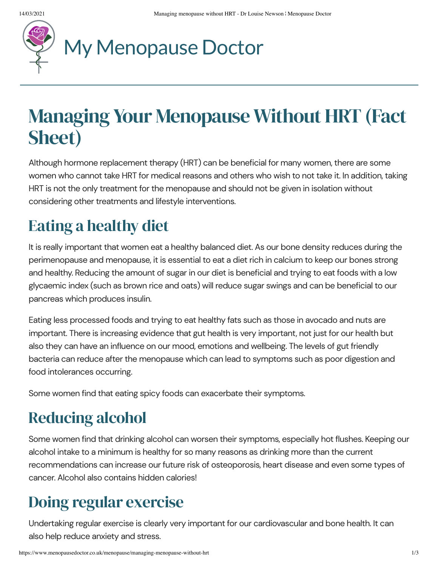

# My [Menopause](https://www.menopausedoctor.co.uk/) Doctor

# **Managing Your Menopause Without HRT (Fact** Sheet)

Although hormone replacement therapy (HRT) can be beneficial for many women, there are some women who cannot take HRT for medical reasons and others who wish to not take it. In addition, taking HRT is not the only treatment for the menopause and should not be given in isolation without considering other treatments and lifestyle interventions.

# Eating a healthy diet

It is really important that women eat a healthy balanced diet. As our bone density reduces during the perimenopause and menopause, it is essential to eat a diet rich in calcium to keep our bones strong and healthy. Reducing the amount of sugar in our diet is beneficial and trying to eat foods with a low glycaemic index (such as brown rice and oats) will reduce sugar swings and can be beneficial to our pancreas which produces insulin.

Eating less processed foods and trying to eat healthy fats such as those in avocado and nuts are important. There is increasing evidence that gut health is very important, not just for our health but also they can have an influence on our mood, emotions and wellbeing. The levels of gut friendly bacteria can reduce after the menopause which can lead to symptoms such as poor digestion and food intolerances occurring.

Some women find that eating spicy foods can exacerbate their symptoms.

## Reducing alcohol

Some women find that drinking alcohol can worsen their symptoms, especially hot flushes. Keeping our alcohol intake to a minimum is healthy for so many reasons as drinking more than the current recommendations can increase our future risk of osteoporosis, heart disease and even some types of cancer. Alcohol also contains hidden calories!

#### Doing regular exercise

Undertaking regular exercise is clearly very important for our cardiovascular and bone health. It can also help reduce anxiety and stress.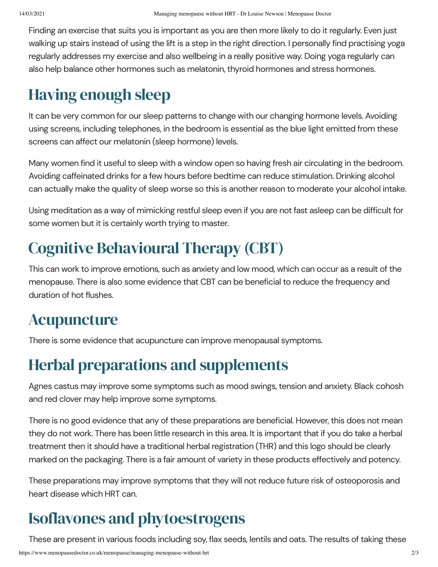Finding an exercise that suits you is important as you are then more likely to do it regularly. Even just walking up stairs instead of using the lift is a step in the right direction. I personally find practising yoga regularly addresses my exercise and also wellbeing in a really positive way. Doing yoga regularly can also help balance other hormones such as melatonin, thyroid hormones and stress hormones.

#### Having enough sleep

It can be very common for our sleep patterns to change with our changing hormone levels. Avoiding using screens, including telephones, in the bedroom is essential as the blue light emitted from these screens can affect our melatonin (sleep hormone) levels.

Many women find it useful to sleep with a window open so having fresh air circulating in the bedroom. Avoiding caffeinated drinks for a few hours before bedtime can reduce stimulation. Drinking alcohol can actually make the quality of sleep worse so this is another reason to moderate your alcohol intake.

Using meditation as a way of mimicking restful sleep even if you are not fast asleep can be difficult for some women but it is certainly worth trying to master.

#### Cognitive Behavioural Therapy (CBT)

This can work to improve emotions, such as anxiety and low mood, which can occur as a result of the menopause. There is also some evidence that CBT can be beneficial to reduce the frequency and duration of hot flushes.

#### Acupuncture

There is some evidence that acupuncture can improve menopausal symptoms.

#### Herbal preparations and supplements

Agnes castus may improve some symptoms such as mood swings, tension and anxiety. Black cohosh and red clover may help improve some symptoms.

There is no good evidence that any of these preparations are beneficial. However, this does not mean they do not work. There has been little research in this area. It is important that if you do take a herbal treatment then it should have a traditional herbal registration (THR) and this logo should be clearly marked on the packaging. There is a fair amount of variety in these products effectively and potency.

These preparations may improve symptoms that they will not reduce future risk of osteoporosis and heart disease which HRT can.

## Isoflavones and phytoestrogens

These are present in various foods including soy, flax seeds, lentils and oats. The results of taking these